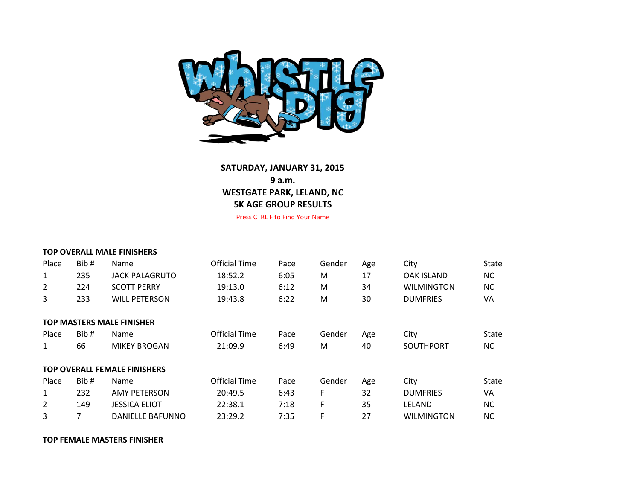

## **SATURDAY, JANUARY 31, 2015 9 a.m. WESTGATE PARK, LELAND, NC 5K AGE GROUP RESULTS**

Press CTRL F to Find Your Name

|       |      | <b>TOP OVERALL MALE FINISHERS</b>   |               |      |        |     |                   |           |
|-------|------|-------------------------------------|---------------|------|--------|-----|-------------------|-----------|
| Place | Bib# | Name                                | Official Time | Pace | Gender | Age | City              | State     |
| 1     | 235  | <b>JACK PALAGRUTO</b>               | 18:52.2       | 6:05 | M      | 17  | <b>OAK ISLAND</b> | NC.       |
| 2     | 224  | <b>SCOTT PERRY</b>                  | 19:13.0       | 6:12 | M      | 34  | <b>WILMINGTON</b> | <b>NC</b> |
| 3     | 233  | <b>WILL PETERSON</b>                | 19:43.8       | 6:22 | M      | 30  | <b>DUMFRIES</b>   | VA        |
|       |      |                                     |               |      |        |     |                   |           |
|       |      | <b>TOP MASTERS MALE FINISHER</b>    |               |      |        |     |                   |           |
| Place | Bib# | Name                                | Official Time | Pace | Gender | Age | City              | State     |
| 1     | 66   | <b>MIKEY BROGAN</b>                 | 21:09.9       | 6:49 | М      | 40  | <b>SOUTHPORT</b>  | NC.       |
|       |      |                                     |               |      |        |     |                   |           |
|       |      | <b>TOP OVERALL FEMALE FINISHERS</b> |               |      |        |     |                   |           |
| Place | Bib# | Name                                | Official Time | Pace | Gender | Age | City              | State     |
| 1     | 232  | <b>AMY PETERSON</b>                 | 20:49.5       | 6:43 | F      | 32  | <b>DUMFRIES</b>   | VA        |
| 2     | 149  | <b>JESSICA ELIOT</b>                | 22:38.1       | 7:18 | F      | 35  | LELAND            | NC.       |
| 3     | 7    | <b>DANIELLE BAFUNNO</b>             | 23:29.2       | 7:35 | F      | 27  | <b>WILMINGTON</b> | <b>NC</b> |

## **TOP FEMALE MASTERS FINISHER**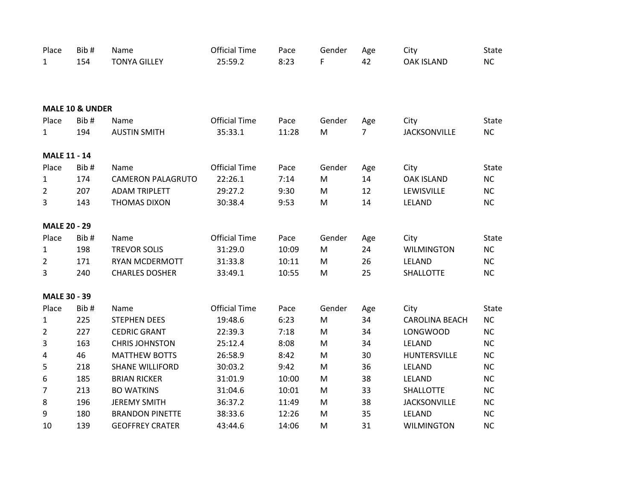| Place               | Bib#                       | Name                     | <b>Official Time</b> | Pace  | Gender    | Age            | City                  | State        |
|---------------------|----------------------------|--------------------------|----------------------|-------|-----------|----------------|-----------------------|--------------|
| $\mathbf{1}$        | 154                        | <b>TONYA GILLEY</b>      | 25:59.2              | 8:23  | F         | 42             | <b>OAK ISLAND</b>     | NC           |
|                     |                            |                          |                      |       |           |                |                       |              |
|                     | <b>MALE 10 &amp; UNDER</b> |                          |                      |       |           |                |                       |              |
| Place               | Bib#                       | Name                     | <b>Official Time</b> | Pace  | Gender    | Age            | City                  | State        |
| $\mathbf{1}$        | 194                        | <b>AUSTIN SMITH</b>      | 35:33.1              | 11:28 | M         | $\overline{7}$ | <b>JACKSONVILLE</b>   | NC           |
| <b>MALE 11 - 14</b> |                            |                          |                      |       |           |                |                       |              |
| Place               | Bib#                       | Name                     | <b>Official Time</b> | Pace  | Gender    | Age            | City                  | State        |
| $\mathbf{1}$        | 174                        | <b>CAMERON PALAGRUTO</b> | 22:26.1              | 7:14  | M         | 14             | <b>OAK ISLAND</b>     | <b>NC</b>    |
| $\overline{2}$      | 207                        | <b>ADAM TRIPLETT</b>     | 29:27.2              | 9:30  | M         | 12             | LEWISVILLE            | NC           |
| 3                   | 143                        | <b>THOMAS DIXON</b>      | 30:38.4              | 9:53  | M         | 14             | LELAND                | <b>NC</b>    |
| <b>MALE 20 - 29</b> |                            |                          |                      |       |           |                |                       |              |
| Place               | Bib#                       | Name                     | <b>Official Time</b> | Pace  | Gender    | Age            | City                  | State        |
| $\mathbf{1}$        | 198                        | <b>TREVOR SOLIS</b>      | 31:29.0              | 10:09 | M         | 24             | <b>WILMINGTON</b>     | <b>NC</b>    |
| $\overline{2}$      | 171                        | <b>RYAN MCDERMOTT</b>    | 31:33.8              | 10:11 | M         | 26             | LELAND                | NC           |
| 3                   | 240                        | <b>CHARLES DOSHER</b>    | 33:49.1              | 10:55 | M         | 25             | <b>SHALLOTTE</b>      | <b>NC</b>    |
| <b>MALE 30 - 39</b> |                            |                          |                      |       |           |                |                       |              |
| Place               | Bib#                       | Name                     | <b>Official Time</b> | Pace  | Gender    | Age            | City                  | <b>State</b> |
| $\mathbf{1}$        | 225                        | <b>STEPHEN DEES</b>      | 19:48.6              | 6:23  | ${\sf M}$ | 34             | <b>CAROLINA BEACH</b> | NC           |
| $\overline{2}$      | 227                        | <b>CEDRIC GRANT</b>      | 22:39.3              | 7:18  | M         | 34             | <b>LONGWOOD</b>       | <b>NC</b>    |
| $\mathbf{3}$        | 163                        | <b>CHRIS JOHNSTON</b>    | 25:12.4              | 8:08  | ${\sf M}$ | 34             | LELAND                | <b>NC</b>    |
| 4                   | 46                         | <b>MATTHEW BOTTS</b>     | 26:58.9              | 8:42  | M         | 30             | HUNTERSVILLE          | <b>NC</b>    |
| $\sqrt{5}$          | 218                        | <b>SHANE WILLIFORD</b>   | 30:03.2              | 9:42  | M         | 36             | LELAND                | NC           |
| $\boldsymbol{6}$    | 185                        | <b>BRIAN RICKER</b>      | 31:01.9              | 10:00 | M         | 38             | LELAND                | <b>NC</b>    |
| $\overline{7}$      | 213                        | <b>BO WATKINS</b>        | 31:04.6              | 10:01 | M         | 33             | SHALLOTTE             | <b>NC</b>    |
| 8                   | 196                        | <b>JEREMY SMITH</b>      | 36:37.2              | 11:49 | M         | 38             | <b>JACKSONVILLE</b>   | <b>NC</b>    |
| $\boldsymbol{9}$    | 180                        | <b>BRANDON PINETTE</b>   | 38:33.6              | 12:26 | M         | 35             | LELAND                | NC           |
| 10                  | 139                        | <b>GEOFFREY CRATER</b>   | 43:44.6              | 14:06 | M         | 31             | <b>WILMINGTON</b>     | <b>NC</b>    |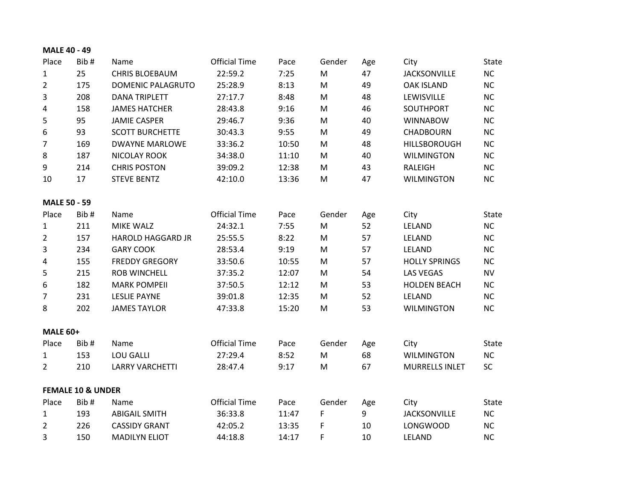| <b>MALE 40 - 49</b> |  |
|---------------------|--|
|                     |  |

| Place               | Bib#                         | Name                     | <b>Official Time</b> | Pace  | Gender                                                                                                     | Age | City                  | <b>State</b> |
|---------------------|------------------------------|--------------------------|----------------------|-------|------------------------------------------------------------------------------------------------------------|-----|-----------------------|--------------|
| $\mathbf{1}$        | 25                           | <b>CHRIS BLOEBAUM</b>    | 22:59.2              | 7:25  | M                                                                                                          | 47  | <b>JACKSONVILLE</b>   | NC           |
| $\overline{2}$      | 175                          | <b>DOMENIC PALAGRUTO</b> | 25:28.9              | 8:13  | $\mathsf{M}% _{T}=\mathsf{M}_{T}\!\left( a,b\right) ,\ \mathsf{M}_{T}=\mathsf{M}_{T}\!\left( a,b\right) ,$ | 49  | <b>OAK ISLAND</b>     | NC           |
| 3                   | 208                          | <b>DANA TRIPLETT</b>     | 27:17.7              | 8:48  | ${\sf M}$                                                                                                  | 48  | LEWISVILLE            | <b>NC</b>    |
| $\sqrt{4}$          | 158                          | <b>JAMES HATCHER</b>     | 28:43.8              | 9:16  | M                                                                                                          | 46  | SOUTHPORT             | NC           |
| 5                   | 95                           | <b>JAMIE CASPER</b>      | 29:46.7              | 9:36  | M                                                                                                          | 40  | <b>WINNABOW</b>       | <b>NC</b>    |
| 6                   | 93                           | <b>SCOTT BURCHETTE</b>   | 30:43.3              | 9:55  | M                                                                                                          | 49  | <b>CHADBOURN</b>      | NC           |
| $\overline{7}$      | 169                          | <b>DWAYNE MARLOWE</b>    | 33:36.2              | 10:50 | ${\sf M}$                                                                                                  | 48  | <b>HILLSBOROUGH</b>   | NC           |
| $\,8\,$             | 187                          | <b>NICOLAY ROOK</b>      | 34:38.0              | 11:10 | M                                                                                                          | 40  | <b>WILMINGTON</b>     | NC           |
| 9                   | 214                          | <b>CHRIS POSTON</b>      | 39:09.2              | 12:38 | M                                                                                                          | 43  | <b>RALEIGH</b>        | NC           |
| 10                  | 17                           | <b>STEVE BENTZ</b>       | 42:10.0              | 13:36 | M                                                                                                          | 47  | <b>WILMINGTON</b>     | NC           |
| <b>MALE 50 - 59</b> |                              |                          |                      |       |                                                                                                            |     |                       |              |
| Place               | Bib#                         | Name                     | <b>Official Time</b> | Pace  | Gender                                                                                                     | Age | City                  | State        |
| $\mathbf{1}$        | 211                          | <b>MIKE WALZ</b>         | 24:32.1              | 7:55  | M                                                                                                          | 52  | LELAND                | NC           |
| $\overline{2}$      | 157                          | HAROLD HAGGARD JR        | 25:55.5              | 8:22  | M                                                                                                          | 57  | LELAND                | NC           |
| 3                   | 234                          | <b>GARY COOK</b>         | 28:53.4              | 9:19  | M                                                                                                          | 57  | LELAND                | <b>NC</b>    |
| $\sqrt{4}$          | 155                          | <b>FREDDY GREGORY</b>    | 33:50.6              | 10:55 | ${\sf M}$                                                                                                  | 57  | <b>HOLLY SPRINGS</b>  | <b>NC</b>    |
| 5                   | 215                          | <b>ROB WINCHELL</b>      | 37:35.2              | 12:07 | ${\sf M}$                                                                                                  | 54  | <b>LAS VEGAS</b>      | <b>NV</b>    |
| $\boldsymbol{6}$    | 182                          | <b>MARK POMPEII</b>      | 37:50.5              | 12:12 | ${\sf M}$                                                                                                  | 53  | <b>HOLDEN BEACH</b>   | <b>NC</b>    |
| $\overline{7}$      | 231                          | <b>LESLIE PAYNE</b>      | 39:01.8              | 12:35 | M                                                                                                          | 52  | LELAND                | <b>NC</b>    |
| 8                   | 202                          | <b>JAMES TAYLOR</b>      | 47:33.8              | 15:20 | ${\sf M}$                                                                                                  | 53  | <b>WILMINGTON</b>     | NC           |
| <b>MALE 60+</b>     |                              |                          |                      |       |                                                                                                            |     |                       |              |
| Place               | Bib#                         | Name                     | <b>Official Time</b> | Pace  | Gender                                                                                                     | Age | City                  | State        |
| $\mathbf{1}$        | 153                          | <b>LOU GALLI</b>         | 27:29.4              | 8:52  | M                                                                                                          | 68  | <b>WILMINGTON</b>     | NC           |
| $\overline{2}$      | 210                          | <b>LARRY VARCHETTI</b>   | 28:47.4              | 9:17  | ${\sf M}$                                                                                                  | 67  | <b>MURRELLS INLET</b> | <b>SC</b>    |
|                     | <b>FEMALE 10 &amp; UNDER</b> |                          |                      |       |                                                                                                            |     |                       |              |
| Place               | Bib#                         | Name                     | <b>Official Time</b> | Pace  | Gender                                                                                                     | Age | City                  | <b>State</b> |
| $\mathbf{1}$        | 193                          | <b>ABIGAIL SMITH</b>     | 36:33.8              | 11:47 | F                                                                                                          | 9   | <b>JACKSONVILLE</b>   | NC           |
| $\overline{2}$      | 226                          | <b>CASSIDY GRANT</b>     | 42:05.2              | 13:35 | F                                                                                                          | 10  | <b>LONGWOOD</b>       | <b>NC</b>    |
| 3                   | 150                          | <b>MADILYN ELIOT</b>     | 44:18.8              | 14:17 | F                                                                                                          | 10  | LELAND                | <b>NC</b>    |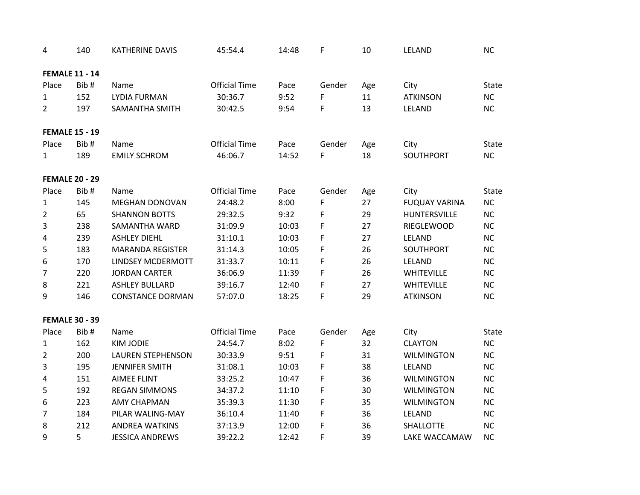| 4                     | 140  | <b>KATHERINE DAVIS</b>   | 45:54.4              | 14:48 | F      | 10  | LELAND               | <b>NC</b>    |
|-----------------------|------|--------------------------|----------------------|-------|--------|-----|----------------------|--------------|
| <b>FEMALE 11 - 14</b> |      |                          |                      |       |        |     |                      |              |
| Place                 | Bib# | Name                     | <b>Official Time</b> | Pace  | Gender | Age | City                 | <b>State</b> |
| $\mathbf{1}$          | 152  | <b>LYDIA FURMAN</b>      | 30:36.7              | 9:52  | F      | 11  | <b>ATKINSON</b>      | <b>NC</b>    |
| $\overline{2}$        | 197  | <b>SAMANTHA SMITH</b>    | 30:42.5              | 9:54  | F      | 13  | LELAND               | <b>NC</b>    |
| <b>FEMALE 15 - 19</b> |      |                          |                      |       |        |     |                      |              |
| Place                 | Bib# | Name                     | <b>Official Time</b> | Pace  | Gender | Age | City                 | <b>State</b> |
| $\mathbf{1}$          | 189  | <b>EMILY SCHROM</b>      | 46:06.7              | 14:52 | F      | 18  | SOUTHPORT            | <b>NC</b>    |
| <b>FEMALE 20 - 29</b> |      |                          |                      |       |        |     |                      |              |
| Place                 | Bib# | Name                     | <b>Official Time</b> | Pace  | Gender | Age | City                 | <b>State</b> |
| $\mathbf{1}$          | 145  | <b>MEGHAN DONOVAN</b>    | 24:48.2              | 8:00  | F      | 27  | <b>FUQUAY VARINA</b> | <b>NC</b>    |
| $\overline{2}$        | 65   | <b>SHANNON BOTTS</b>     | 29:32.5              | 9:32  | F      | 29  | HUNTERSVILLE         | <b>NC</b>    |
| 3                     | 238  | <b>SAMANTHA WARD</b>     | 31:09.9              | 10:03 | F      | 27  | <b>RIEGLEWOOD</b>    | <b>NC</b>    |
| 4                     | 239  | <b>ASHLEY DIEHL</b>      | 31:10.1              | 10:03 | F      | 27  | LELAND               | <b>NC</b>    |
| 5                     | 183  | <b>MARANDA REGISTER</b>  | 31:14.3              | 10:05 | F      | 26  | SOUTHPORT            | <b>NC</b>    |
| 6                     | 170  | LINDSEY MCDERMOTT        | 31:33.7              | 10:11 | F      | 26  | LELAND               | <b>NC</b>    |
| $\overline{7}$        | 220  | <b>JORDAN CARTER</b>     | 36:06.9              | 11:39 | F      | 26  | WHITEVILLE           | NC           |
| $\,8$                 | 221  | <b>ASHLEY BULLARD</b>    | 39:16.7              | 12:40 | F      | 27  | <b>WHITEVILLE</b>    | <b>NC</b>    |
| 9                     | 146  | <b>CONSTANCE DORMAN</b>  | 57:07.0              | 18:25 | F      | 29  | <b>ATKINSON</b>      | <b>NC</b>    |
| <b>FEMALE 30 - 39</b> |      |                          |                      |       |        |     |                      |              |
| Place                 | Bib# | Name                     | <b>Official Time</b> | Pace  | Gender | Age | City                 | <b>State</b> |
| $\mathbf{1}$          | 162  | <b>KIM JODIE</b>         | 24:54.7              | 8:02  | F      | 32  | <b>CLAYTON</b>       | <b>NC</b>    |
| $\overline{2}$        | 200  | <b>LAUREN STEPHENSON</b> | 30:33.9              | 9:51  | F      | 31  | <b>WILMINGTON</b>    | <b>NC</b>    |
| 3                     | 195  | <b>JENNIFER SMITH</b>    | 31:08.1              | 10:03 | F      | 38  | LELAND               | NC           |
| 4                     | 151  | <b>AIMEE FLINT</b>       | 33:25.2              | 10:47 | F      | 36  | <b>WILMINGTON</b>    | <b>NC</b>    |
| 5                     | 192  | <b>REGAN SIMMONS</b>     | 34:37.2              | 11:10 | F      | 30  | <b>WILMINGTON</b>    | <b>NC</b>    |
| 6                     | 223  | <b>AMY CHAPMAN</b>       | 35:39.3              | 11:30 | F      | 35  | <b>WILMINGTON</b>    | <b>NC</b>    |
| $\overline{7}$        | 184  | PILAR WALING-MAY         | 36:10.4              | 11:40 | F      | 36  | LELAND               | NC           |
| 8                     | 212  | <b>ANDREA WATKINS</b>    | 37:13.9              | 12:00 | F      | 36  | SHALLOTTE            | <b>NC</b>    |
| 9                     | 5    | <b>JESSICA ANDREWS</b>   | 39:22.2              | 12:42 | F      | 39  | LAKE WACCAMAW        | <b>NC</b>    |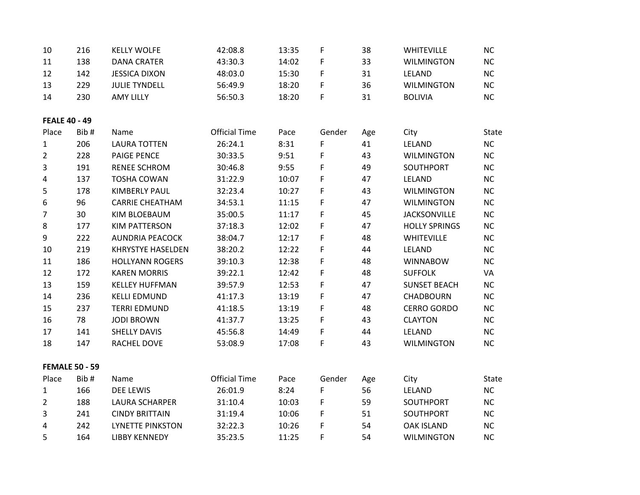| 10                   | 216                   | <b>KELLY WOLFE</b>       | 42:08.8              | 13:35 | F           | 38  | WHITEVILLE           | <b>NC</b> |
|----------------------|-----------------------|--------------------------|----------------------|-------|-------------|-----|----------------------|-----------|
| 11                   | 138                   | <b>DANA CRATER</b>       | 43:30.3              | 14:02 | F           | 33  | <b>WILMINGTON</b>    | NC        |
| 12                   | 142                   | <b>JESSICA DIXON</b>     | 48:03.0              | 15:30 | F           | 31  | LELAND               | NC        |
| 13                   | 229                   | <b>JULIE TYNDELL</b>     | 56:49.9              | 18:20 | F           | 36  | <b>WILMINGTON</b>    | <b>NC</b> |
| 14                   | 230                   | <b>AMY LILLY</b>         | 56:50.3              | 18:20 | F           | 31  | <b>BOLIVIA</b>       | NC        |
| <b>FEALE 40 - 49</b> |                       |                          |                      |       |             |     |                      |           |
| Place                | Bib#                  | Name                     | <b>Official Time</b> | Pace  | Gender      | Age | City                 | State     |
| $\mathbf{1}$         | 206                   | <b>LAURA TOTTEN</b>      | 26:24.1              | 8:31  | F           | 41  | LELAND               | <b>NC</b> |
| $\overline{2}$       | 228                   | <b>PAIGE PENCE</b>       | 30:33.5              | 9:51  | F           | 43  | <b>WILMINGTON</b>    | <b>NC</b> |
| 3                    | 191                   | <b>RENEE SCHROM</b>      | 30:46.8              | 9:55  | F           | 49  | SOUTHPORT            | <b>NC</b> |
| $\overline{4}$       | 137                   | <b>TOSHA COWAN</b>       | 31:22.9              | 10:07 | F           | 47  | LELAND               | <b>NC</b> |
| 5                    | 178                   | <b>KIMBERLY PAUL</b>     | 32:23.4              | 10:27 | F           | 43  | <b>WILMINGTON</b>    | NC        |
| 6                    | 96                    | <b>CARRIE CHEATHAM</b>   | 34:53.1              | 11:15 | F           | 47  | <b>WILMINGTON</b>    | NC        |
| $\overline{7}$       | 30                    | <b>KIM BLOEBAUM</b>      | 35:00.5              | 11:17 | F           | 45  | <b>JACKSONVILLE</b>  | <b>NC</b> |
| 8                    | 177                   | <b>KIM PATTERSON</b>     | 37:18.3              | 12:02 | F           | 47  | <b>HOLLY SPRINGS</b> | <b>NC</b> |
| 9                    | 222                   | <b>AUNDRIA PEACOCK</b>   | 38:04.7              | 12:17 | $\mathsf F$ | 48  | WHITEVILLE           | NC        |
| 10                   | 219                   | <b>KHRYSTYE HASELDEN</b> | 38:20.2              | 12:22 | F           | 44  | LELAND               | <b>NC</b> |
| 11                   | 186                   | <b>HOLLYANN ROGERS</b>   | 39:10.3              | 12:38 | F           | 48  | <b>WINNABOW</b>      | <b>NC</b> |
| 12                   | 172                   | <b>KAREN MORRIS</b>      | 39:22.1              | 12:42 | F           | 48  | <b>SUFFOLK</b>       | VA        |
| 13                   | 159                   | <b>KELLEY HUFFMAN</b>    | 39:57.9              | 12:53 | F           | 47  | <b>SUNSET BEACH</b>  | <b>NC</b> |
| 14                   | 236                   | <b>KELLI EDMUND</b>      | 41:17.3              | 13:19 | F           | 47  | <b>CHADBOURN</b>     | <b>NC</b> |
| 15                   | 237                   | <b>TERRI EDMUND</b>      | 41:18.5              | 13:19 | F           | 48  | <b>CERRO GORDO</b>   | <b>NC</b> |
| 16                   | 78                    | <b>JODI BROWN</b>        | 41:37.7              | 13:25 | F           | 43  | <b>CLAYTON</b>       | <b>NC</b> |
| 17                   | 141                   | <b>SHELLY DAVIS</b>      | 45:56.8              | 14:49 | F           | 44  | LELAND               | <b>NC</b> |
| 18                   | 147                   | RACHEL DOVE              | 53:08.9              | 17:08 | F           | 43  | <b>WILMINGTON</b>    | <b>NC</b> |
|                      | <b>FEMALE 50 - 59</b> |                          |                      |       |             |     |                      |           |
| Place                | Bib#                  | Name                     | <b>Official Time</b> | Pace  | Gender      | Age | City                 | State     |
| $\mathbf{1}$         | 166                   | <b>DEE LEWIS</b>         | 26:01.9              | 8:24  | $\mathsf F$ | 56  | LELAND               | NC        |
| $\overline{2}$       | 188                   | <b>LAURA SCHARPER</b>    | 31:10.4              | 10:03 | F           | 59  | SOUTHPORT            | <b>NC</b> |
| 3                    | 241                   | <b>CINDY BRITTAIN</b>    | 31:19.4              | 10:06 | F           | 51  | SOUTHPORT            | <b>NC</b> |
| 4                    | 242                   | <b>LYNETTE PINKSTON</b>  | 32:22.3              | 10:26 | F           | 54  | <b>OAK ISLAND</b>    | <b>NC</b> |
| 5                    | 164                   | <b>LIBBY KENNEDY</b>     | 35:23.5              | 11:25 | F           | 54  | <b>WILMINGTON</b>    | <b>NC</b> |
|                      |                       |                          |                      |       |             |     |                      |           |